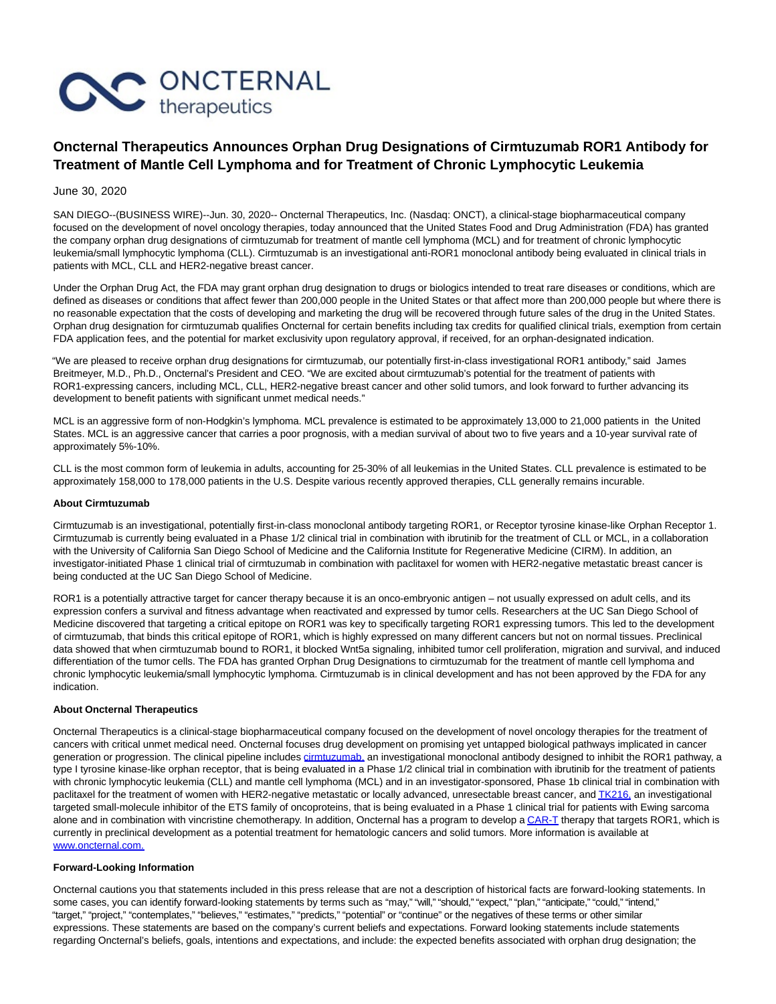

# **Oncternal Therapeutics Announces Orphan Drug Designations of Cirmtuzumab ROR1 Antibody for Treatment of Mantle Cell Lymphoma and for Treatment of Chronic Lymphocytic Leukemia**

June 30, 2020

SAN DIEGO--(BUSINESS WIRE)--Jun. 30, 2020-- Oncternal Therapeutics, Inc. (Nasdaq: ONCT), a clinical-stage biopharmaceutical company focused on the development of novel oncology therapies, today announced that the United States Food and Drug Administration (FDA) has granted the company orphan drug designations of cirmtuzumab for treatment of mantle cell lymphoma (MCL) and for treatment of chronic lymphocytic leukemia/small lymphocytic lymphoma (CLL). Cirmtuzumab is an investigational anti-ROR1 monoclonal antibody being evaluated in clinical trials in patients with MCL, CLL and HER2-negative breast cancer.

Under the Orphan Drug Act, the FDA may grant orphan drug designation to drugs or biologics intended to treat rare diseases or conditions, which are defined as diseases or conditions that affect fewer than 200,000 people in the United States or that affect more than 200,000 people but where there is no reasonable expectation that the costs of developing and marketing the drug will be recovered through future sales of the drug in the United States. Orphan drug designation for cirmtuzumab qualifies Oncternal for certain benefits including tax credits for qualified clinical trials, exemption from certain FDA application fees, and the potential for market exclusivity upon regulatory approval, if received, for an orphan-designated indication.

"We are pleased to receive orphan drug designations for cirmtuzumab, our potentially first-in-class investigational ROR1 antibody," said James Breitmeyer, M.D., Ph.D., Oncternal's President and CEO. "We are excited about cirmtuzumab's potential for the treatment of patients with ROR1-expressing cancers, including MCL, CLL, HER2-negative breast cancer and other solid tumors, and look forward to further advancing its development to benefit patients with significant unmet medical needs."

MCL is an aggressive form of non-Hodgkin's lymphoma. MCL prevalence is estimated to be approximately 13,000 to 21,000 patients in the United States. MCL is an aggressive cancer that carries a poor prognosis, with a median survival of about two to five years and a 10-year survival rate of approximately 5%-10%.

CLL is the most common form of leukemia in adults, accounting for 25-30% of all leukemias in the United States. CLL prevalence is estimated to be approximately 158,000 to 178,000 patients in the U.S. Despite various recently approved therapies, CLL generally remains incurable.

## **About Cirmtuzumab**

Cirmtuzumab is an investigational, potentially first-in-class monoclonal antibody targeting ROR1, or Receptor tyrosine kinase-like Orphan Receptor 1. Cirmtuzumab is currently being evaluated in a Phase 1/2 clinical trial in combination with ibrutinib for the treatment of CLL or MCL, in a collaboration with the University of California San Diego School of Medicine and the California Institute for Regenerative Medicine (CIRM). In addition, an investigator-initiated Phase 1 clinical trial of cirmtuzumab in combination with paclitaxel for women with HER2-negative metastatic breast cancer is being conducted at the UC San Diego School of Medicine.

ROR1 is a potentially attractive target for cancer therapy because it is an onco-embryonic antigen – not usually expressed on adult cells, and its expression confers a survival and fitness advantage when reactivated and expressed by tumor cells. Researchers at the UC San Diego School of Medicine discovered that targeting a critical epitope on ROR1 was key to specifically targeting ROR1 expressing tumors. This led to the development of cirmtuzumab, that binds this critical epitope of ROR1, which is highly expressed on many different cancers but not on normal tissues. Preclinical data showed that when cirmtuzumab bound to ROR1, it blocked Wnt5a signaling, inhibited tumor cell proliferation, migration and survival, and induced differentiation of the tumor cells. The FDA has granted Orphan Drug Designations to cirmtuzumab for the treatment of mantle cell lymphoma and chronic lymphocytic leukemia/small lymphocytic lymphoma. Cirmtuzumab is in clinical development and has not been approved by the FDA for any indication.

## **About Oncternal Therapeutics**

Oncternal Therapeutics is a clinical-stage biopharmaceutical company focused on the development of novel oncology therapies for the treatment of cancers with critical unmet medical need. Oncternal focuses drug development on promising yet untapped biological pathways implicated in cancer generation or progression. The clinical pipeline includes [cirmtuzumab, a](https://cts.businesswire.com/ct/CT?id=smartlink&url=https%3A%2F%2Fwww.globenewswire.com%2FTracker%3Fdata%3DmcvhUzD_eD2AjKaH5E0u5LAa9b0Iv4TF6uqAwy7_cvUTFrrY0vmgFEg-eHxo0ivLDJcQrJYwPSSzvYl4bMd2y1e5hwMpcgYOzQMcLtn5KMZdZJ3Cqt8_i4Qbfs3q5zNklCCXwDdE1WmvlEm9AV8sOGuZtw5cqGDsxeudCJYO0sK5X9NZGC4AeAjxQfClh-pDvEaS8_9ltFgn_enTgxPUA9uH6snP_RsZ_FKZv2y_Xpkr6Eeo24b6cbYwN8qR_LEc&esheet=52243308&newsitemid=20200630005357&lan=en-US&anchor=cirmtuzumab%2C&index=1&md5=75c34e17e453affb1c3736eff0b47a52)n investigational monoclonal antibody designed to inhibit the ROR1 pathway, a type I tyrosine kinase-like orphan receptor, that is being evaluated in a Phase 1/2 clinical trial in combination with ibrutinib for the treatment of patients with chronic lymphocytic leukemia (CLL) and mantle cell lymphoma (MCL) and in an investigator-sponsored, Phase 1b clinical trial in combination with paclitaxel for the treatment of women with HER2-negative metastatic or locally advanced, unresectable breast cancer, an[d TK216, a](https://cts.businesswire.com/ct/CT?id=smartlink&url=http%3A%2F%2Fwww.oncternal.com%2FPipeline%2FTK216&esheet=52243308&newsitemid=20200630005357&lan=en-US&anchor=TK216%2C&index=2&md5=119ed5f3f1955a0de04fb2feb1e3efbd)n investigational targeted small-molecule inhibitor of the ETS family of oncoproteins, that is being evaluated in a Phase 1 clinical trial for patients with Ewing sarcoma alone and in combination with vincristine chemotherapy. In addition, Oncternal has a program to develop [a CAR-T t](https://cts.businesswire.com/ct/CT?id=smartlink&url=http%3A%2F%2Fwww.oncternal.com%2FPipeline%2Fror1-car-t&esheet=52243308&newsitemid=20200630005357&lan=en-US&anchor=CAR-T&index=3&md5=2b48fe2d1fa3e09f1c0daf387a695932)herapy that targets ROR1, which is currently in preclinical development as a potential treatment for hematologic cancers and solid tumors. More information is available at [www.oncternal.com.](https://cts.businesswire.com/ct/CT?id=smartlink&url=https%3A%2F%2Fwww.globenewswire.com%2FTracker%3Fdata%3DhwpabcfF01eFpCyhKh7VCRCGOe6axItrEYowYTAsZi58fJ5u6H8xXeTXLZAF9wI6-9ES9WqNMfbPkCJcd5ZW-V7ov8A8XAzrLbvGj0v35tkEtN3Lp1sYj8EGO939U-2DCJIpF1D8xui5a4RjOPYieHA58QBfvRVK2zvSA-qvSlwGyRL0VZHqDZe8wxjgNRNfoLUT1h6f775cnna9_Po6-mHhNeN7fE9axmDLmQFXuAQ%253D&esheet=52243308&newsitemid=20200630005357&lan=en-US&anchor=www.oncternal.com.&index=4&md5=c31c8ec8790fbb9cced9903807300423)

#### **Forward-Looking Information**

Oncternal cautions you that statements included in this press release that are not a description of historical facts are forward-looking statements. In some cases, you can identify forward-looking statements by terms such as "may," "will," "should," "expect," "plan," "anticipate," "could," "intend," "target," "project," "contemplates," "believes," "estimates," "predicts," "potential" or "continue" or the negatives of these terms or other similar expressions. These statements are based on the company's current beliefs and expectations. Forward looking statements include statements regarding Oncternal's beliefs, goals, intentions and expectations, and include: the expected benefits associated with orphan drug designation; the